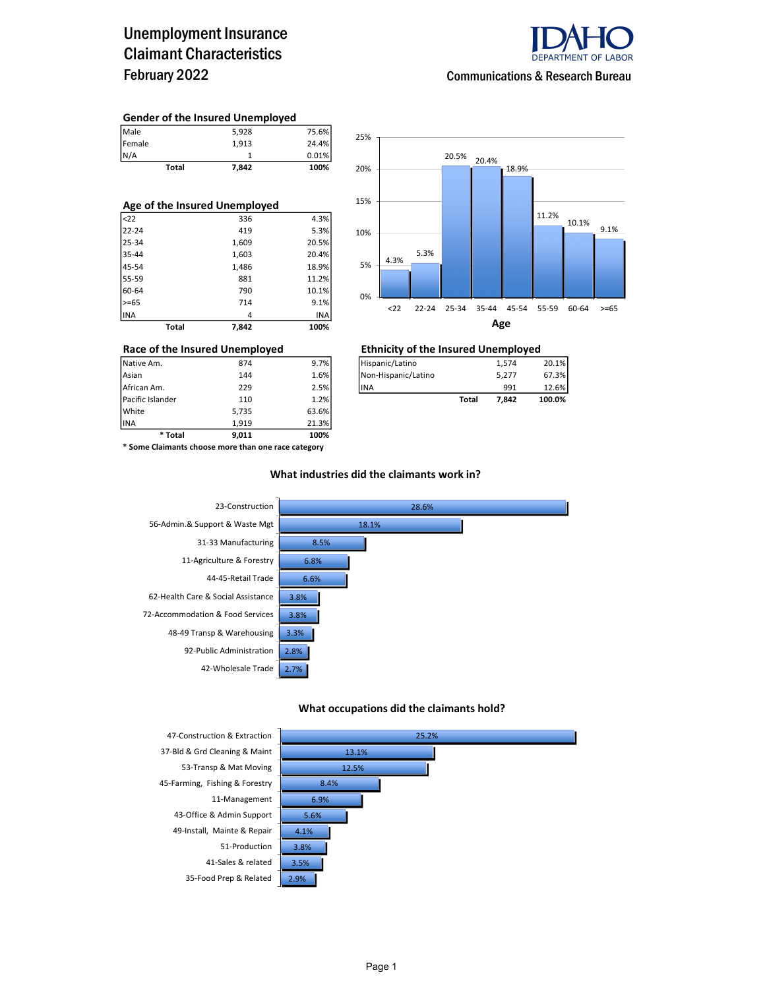### Unemployment Insurance Claimant Characteristics February 2022



#### Communications & Research Bureau

#### Gender of the Insured Unemployed

| Total                 | 7,842 | 100%  |
|-----------------------|-------|-------|
|                       |       | 0.01% |
|                       | 1.913 | 24.4% |
| Male<br>Female<br>N/A | 5,928 | 75.6% |

| Age of the Insured Unemployed |              |       |       |  |  |  |  |  |
|-------------------------------|--------------|-------|-------|--|--|--|--|--|
| $22$                          |              | 336   | 4.3%  |  |  |  |  |  |
| 22-24                         |              | 419   | 5.3%  |  |  |  |  |  |
| 25-34                         |              | 1,609 | 20.5% |  |  |  |  |  |
| 35-44                         |              | 1,603 | 20.4% |  |  |  |  |  |
| 45-54                         |              | 1,486 | 18.9% |  |  |  |  |  |
| 55-59                         |              | 881   | 11.2% |  |  |  |  |  |
| 60-64                         |              | 790   | 10.1% |  |  |  |  |  |
| $>= 65$                       |              | 714   | 9.1%  |  |  |  |  |  |
| INA                           |              | 4     | INA   |  |  |  |  |  |
|                               | <b>Total</b> | 7,842 | 100%  |  |  |  |  |  |



### Race of the Insured Unemployed<br>  $\frac{1}{274}$   $\frac{1}{274}$   $\frac{1}{274}$   $\frac{1}{274}$   $\frac{1}{274}$   $\frac{1}{274}$   $\frac{1}{274}$

| 20.1%<br>1.574  |
|-----------------|
| 67.3%<br>5.277  |
| 12.6%<br>991    |
| 100.0%<br>7.842 |
|                 |

INA 1,919 21.3% \* Some Claimants choose more than one race category

\* Total 9,011 100%

Pacific Islander 110 1.2% White 5,735 63.6%<br>1.919 21.3% 1.919 21.3%

#### What industries did the claimants work in?



#### What occupations did the claimants hold?



37-Bld & Grd Cleaning & Maint 53-Transp & Mat Moving 45-Farming, Fishing & Forestry 8.4% 11-Management 6.9% 43-Office & Admin Support 5.6% 49-Install, Mainte & Repair 4.1% 51-Production 3.8% 41-Sales & related 35-Food Prep & Related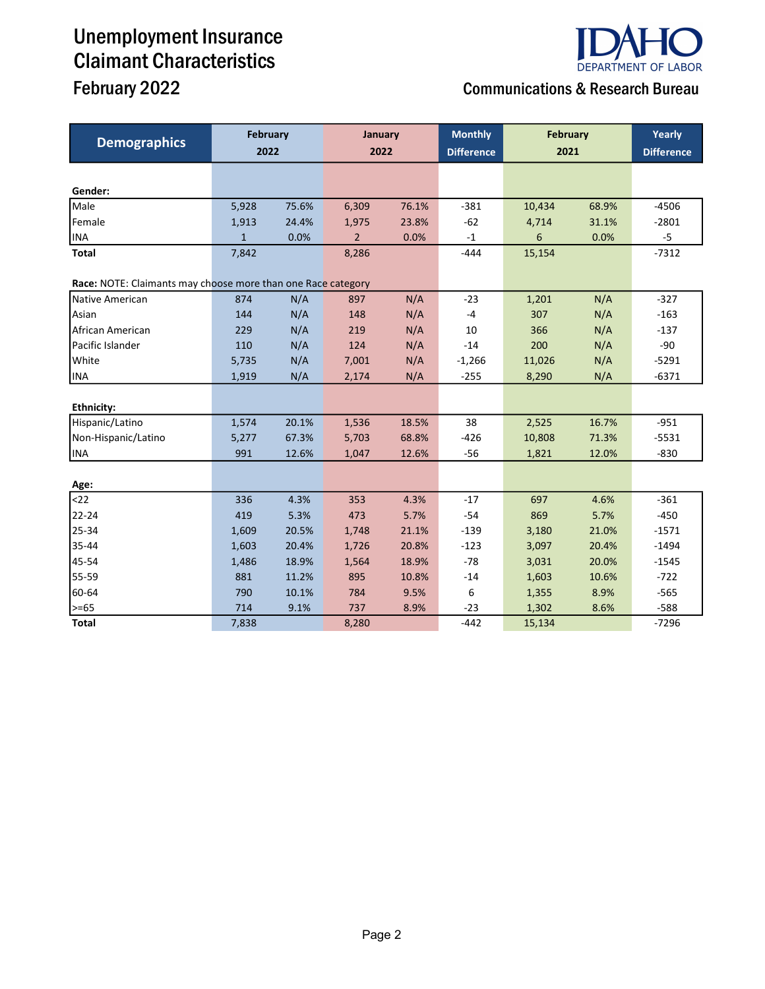# Unemployment Insurance Claimant Characteristics



## February 2022 **Communications & Research Bureau**

| <b>Demographics</b>                                          | <b>February</b><br>2022 |       | January<br>2022 |       | <b>Monthly</b>    | <b>February</b> |       | Yearly            |  |
|--------------------------------------------------------------|-------------------------|-------|-----------------|-------|-------------------|-----------------|-------|-------------------|--|
|                                                              |                         |       |                 |       | <b>Difference</b> | 2021            |       | <b>Difference</b> |  |
|                                                              |                         |       |                 |       |                   |                 |       |                   |  |
| Gender:                                                      |                         |       |                 |       |                   |                 |       |                   |  |
| Male                                                         | 5,928                   | 75.6% | 6,309           | 76.1% | $-381$            | 10,434          | 68.9% | $-4506$           |  |
| Female                                                       | 1,913                   | 24.4% | 1,975           | 23.8% | $-62$             | 4,714           | 31.1% | $-2801$           |  |
| <b>INA</b>                                                   | $\mathbf{1}$            | 0.0%  | $\overline{2}$  | 0.0%  | $-1$              | 6               | 0.0%  | $-5$              |  |
| Total                                                        | 7,842                   |       | 8,286           |       | $-444$            | 15,154          |       | $-7312$           |  |
| Race: NOTE: Claimants may choose more than one Race category |                         |       |                 |       |                   |                 |       |                   |  |
| Native American                                              | 874                     | N/A   | 897             | N/A   | $-23$             | 1,201           | N/A   | $-327$            |  |
| Asian                                                        | 144                     | N/A   | 148             | N/A   | $-4$              | 307             | N/A   | $-163$            |  |
| African American                                             | 229                     | N/A   | 219             | N/A   | 10                | 366             | N/A   | $-137$            |  |
| Pacific Islander                                             | 110                     | N/A   | 124             | N/A   | $-14$             | 200             | N/A   | $-90$             |  |
| White                                                        | 5,735                   | N/A   | 7,001           | N/A   | $-1,266$          | 11,026          | N/A   | $-5291$           |  |
| <b>INA</b>                                                   | 1,919                   | N/A   | 2,174           | N/A   | $-255$            | 8,290           | N/A   | $-6371$           |  |
|                                                              |                         |       |                 |       |                   |                 |       |                   |  |
| <b>Ethnicity:</b>                                            |                         |       |                 |       |                   |                 |       |                   |  |
| Hispanic/Latino                                              | 1,574                   | 20.1% | 1,536           | 18.5% | 38                | 2,525           | 16.7% | $-951$            |  |
| Non-Hispanic/Latino                                          | 5,277                   | 67.3% | 5,703           | 68.8% | $-426$            | 10,808          | 71.3% | $-5531$           |  |
| <b>INA</b>                                                   | 991                     | 12.6% | 1,047           | 12.6% | $-56$             | 1,821           | 12.0% | $-830$            |  |
|                                                              |                         |       |                 |       |                   |                 |       |                   |  |
| Age:                                                         |                         |       |                 |       |                   |                 |       |                   |  |
| $22$                                                         | 336                     | 4.3%  | 353             | 4.3%  | $-17$             | 697             | 4.6%  | $-361$            |  |
| 22-24                                                        | 419                     | 5.3%  | 473             | 5.7%  | $-54$             | 869             | 5.7%  | $-450$            |  |
| 25-34                                                        | 1,609                   | 20.5% | 1,748           | 21.1% | $-139$            | 3,180           | 21.0% | $-1571$           |  |
| 35-44                                                        | 1,603                   | 20.4% | 1,726           | 20.8% | $-123$            | 3,097           | 20.4% | $-1494$           |  |
| 45-54                                                        | 1,486                   | 18.9% | 1,564           | 18.9% | $-78$             | 3,031           | 20.0% | $-1545$           |  |
| 55-59                                                        | 881                     | 11.2% | 895             | 10.8% | $-14$             | 1,603           | 10.6% | $-722$            |  |
| 60-64                                                        | 790                     | 10.1% | 784             | 9.5%  | 6                 | 1,355           | 8.9%  | $-565$            |  |
| >=65                                                         | 714                     | 9.1%  | 737             | 8.9%  | $-23$             | 1,302           | 8.6%  | $-588$            |  |
| <b>Total</b>                                                 | 7,838                   |       | 8,280           |       | $-442$            | 15,134          |       | $-7296$           |  |